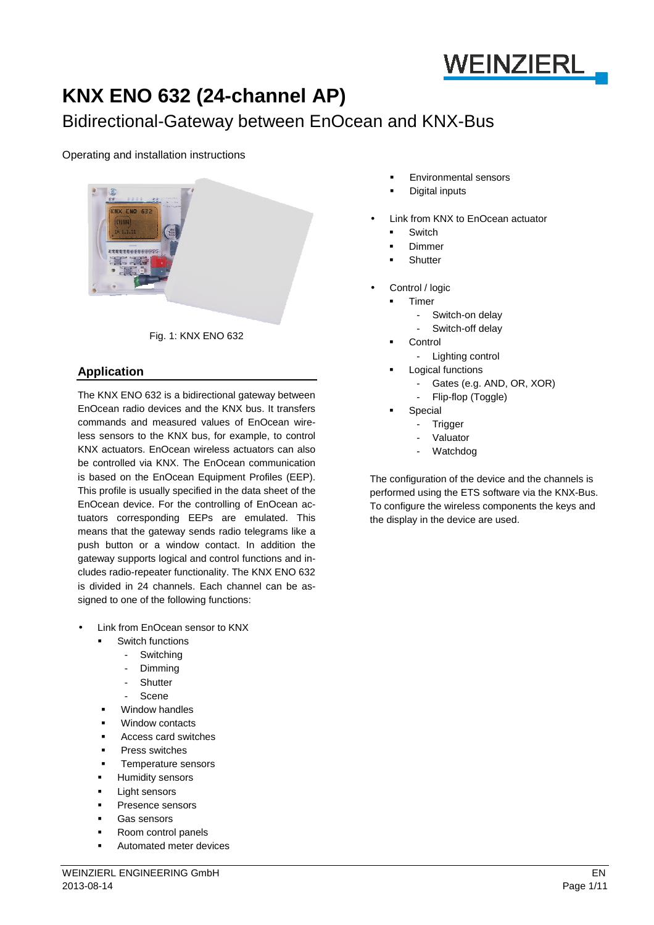

# **KNX ENO 632 (24-channel AP)**

## Bidirectional-Gateway between EnOcean and KNX-Bus

## Operating and installation instructions



Fig. 1: KNX ENO 632

## **Application**

The KNX ENO 632 is a bidirectional gateway between EnOcean radio devices and the KNX bus. It transfers commands and measured values of EnOcean wireless sensors to the KNX bus, for example, to control KNX actuators. EnOcean wireless actuators can also be controlled via KNX. The EnOcean communication is based on the EnOcean Equipment Profiles (EEP). This profile is usually specified in the data sheet of the EnOcean device. For the controlling of EnOcean actuators corresponding EEPs are emulated. This means that the gateway sends radio telegrams like a push button or a window contact. In addition the gateway supports logical and control functions and includes radio-repeater functionality. The KNX ENO 632 is divided in 24 channels. Each channel can be assigned to one of the following functions:

- Link from EnOcean sensor to KNX
	- Switch functions
		- Switching
		- Dimming
		- **Shutter**
		- Scene
	- Window handles
	- Window contacts
	- Access card switches
	- Press switches
	- Temperature sensors
	- Humidity sensors
	- Light sensors
	- Presence sensors
	- Gas sensors
	- Room control panels
	- Automated meter devices
- Environmental sensors
- Digital inputs
- Link from KNX to EnOcean actuator
	- Switch
	- Dimmer
	- **Shutter**
- Control / logic
	- Timer
		- Switch-on delay
		- Switch-off delay
	- **Control** 
		- Lighting control
	- Logical functions
		- Gates (e.g. AND, OR, XOR)
		- Flip-flop (Toggle)
	- Special
		- **Trigger**
		- Valuator
		- Watchdog

The configuration of the device and the channels is performed using the ETS software via the KNX-Bus. To configure the wireless components the keys and the display in the device are used.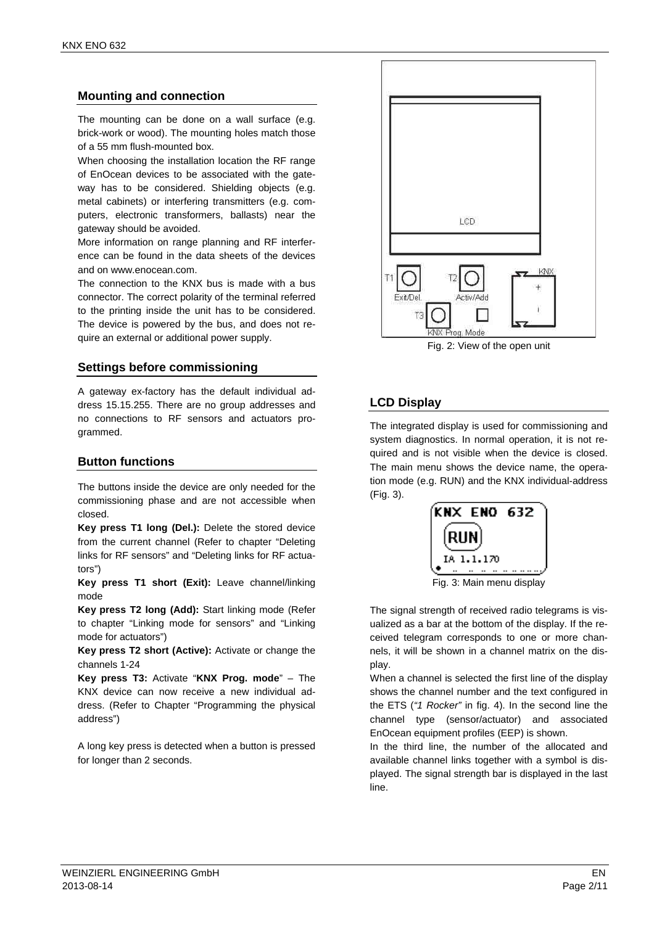## **Mounting and connection**

The mounting can be done on a wall surface (e.g. brick-work or wood). The mounting holes match those of a 55 mm flush-mounted box.

When choosing the installation location the RF range of EnOcean devices to be associated with the gateway has to be considered. Shielding objects (e.g. metal cabinets) or interfering transmitters (e.g. computers, electronic transformers, ballasts) near the gateway should be avoided.

More information on range planning and RF interference can be found in the data sheets of the devices and on www.enocean.com

The connection to the KNX bus is made with a bus connector. The correct polarity of the terminal referred to the printing inside the unit has to be considered. The device is powered by the bus, and does not require an external or additional power supply.

## **Settings before commissioning**

A gateway ex-factory has the default individual address 15.15.255. There are no group addresses and no connections to RF sensors and actuators programmed.

## **Button functions**

The buttons inside the device are only needed for the commissioning phase and are not accessible when closed.

**Key press T1 long (Del.):** Delete the stored device from the current channel (Refer to chapter "Deleting links for RF sensors" and "Deleting links for RF actuators")

**Key press T1 short (Exit):** Leave channel/linking mode

**Key press T2 long (Add):** Start linking mode (Refer to chapter "Linking mode for sensors" and "Linking mode for actuators")

**Key press T2 short (Active):** Activate or change the channels 1-24

**Key press T3:** Activate "**KNX Prog. mode**" – The KNX device can now receive a new individual address. (Refer to Chapter "Programming the physical address")

A long key press is detected when a button is pressed for longer than 2 seconds.



Fig. 2: View of the open unit

## **LCD Display**

The integrated display is used for commissioning and system diagnostics. In normal operation, it is not required and is not visible when the device is closed. The main menu shows the device name, the operation mode (e.g. RUN) and the KNX individual-address (Fig. 3).



The signal strength of received radio telegrams is visualized as a bar at the bottom of the display. If the received telegram corresponds to one or more channels, it will be shown in a channel matrix on the display.

When a channel is selected the first line of the display shows the channel number and the text configured in the ETS ("1 Rocker" in fig. 4). In the second line the channel type (sensor/actuator) and associated EnOcean equipment profiles (EEP) is shown.

In the third line, the number of the allocated and available channel links together with a symbol is displayed. The signal strength bar is displayed in the last line.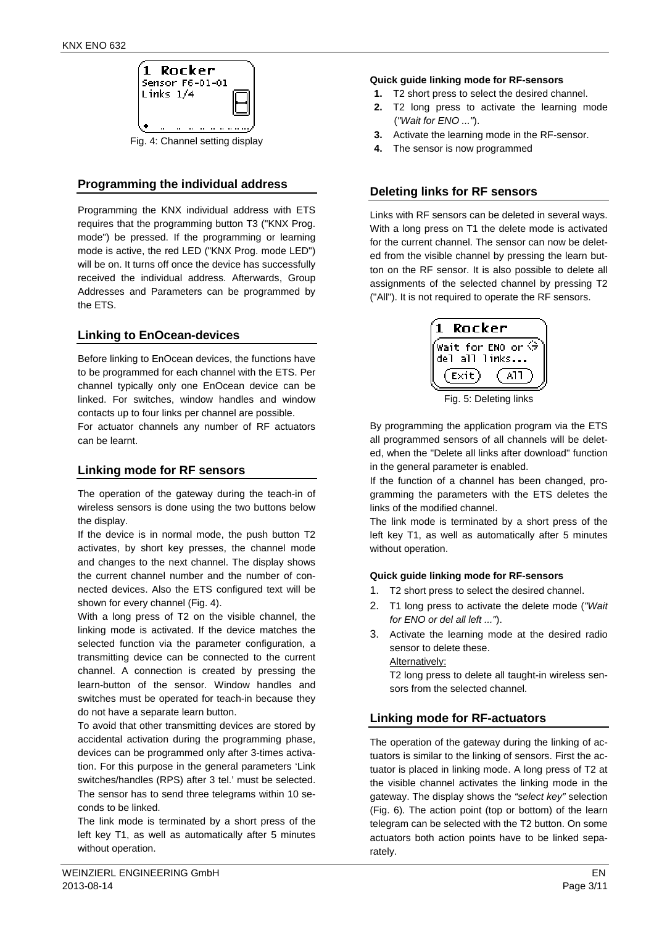

## **Programming the individual address**

Programming the KNX individual address with ETS requires that the programming button T3 ("KNX Prog. mode") be pressed. If the programming or learning mode is active, the red LED ("KNX Prog. mode LED") will be on. It turns off once the device has successfully received the individual address. Afterwards, Group Addresses and Parameters can be programmed by the ETS.

## **Linking to EnOcean-devices**

Before linking to EnOcean devices, the functions have to be programmed for each channel with the ETS. Per channel typically only one EnOcean device can be linked. For switches, window handles and window contacts up to four links per channel are possible.

For actuator channels any number of RF actuators can be learnt.

## **Linking mode for RF sensors**

The operation of the gateway during the teach-in of wireless sensors is done using the two buttons below the display.

If the device is in normal mode, the push button T2 activates, by short key presses, the channel mode and changes to the next channel. The display shows the current channel number and the number of connected devices. Also the ETS configured text will be shown for every channel (Fig. 4).

With a long press of T2 on the visible channel, the linking mode is activated. If the device matches the selected function via the parameter configuration, a transmitting device can be connected to the current channel. A connection is created by pressing the learn-button of the sensor. Window handles and switches must be operated for teach-in because they do not have a separate learn button.

To avoid that other transmitting devices are stored by accidental activation during the programming phase, devices can be programmed only after 3-times activation. For this purpose in the general parameters 'Link switches/handles (RPS) after 3 tel.' must be selected. The sensor has to send three telegrams within 10 seconds to be linked.

The link mode is terminated by a short press of the left key T1, as well as automatically after 5 minutes without operation.

#### **Quick guide linking mode for RF-sensors**

- **1.** T2 short press to select the desired channel.
- **2.** T2 long press to activate the learning mode ("Wait for ENO ...").
- **3.** Activate the learning mode in the RF-sensor.
- **4.** The sensor is now programmed

## **Deleting links for RF sensors**

Links with RF sensors can be deleted in several ways. With a long press on T1 the delete mode is activated for the current channel. The sensor can now be deleted from the visible channel by pressing the learn button on the RF sensor. It is also possible to delete all assignments of the selected channel by pressing T2 ("All"). It is not required to operate the RF sensors.



By programming the application program via the ETS all programmed sensors of all channels will be deleted, when the "Delete all links after download" function in the general parameter is enabled.

If the function of a channel has been changed, programming the parameters with the ETS deletes the links of the modified channel.

The link mode is terminated by a short press of the left key T1, as well as automatically after 5 minutes without operation.

## **Quick guide linking mode for RF-sensors**

- 1. T2 short press to select the desired channel.
- 2. T1 long press to activate the delete mode ("Wait for ENO or del all left ...").
- 3. Activate the learning mode at the desired radio sensor to delete these.

#### Alternatively:

T2 long press to delete all taught-in wireless sensors from the selected channel.

## **Linking mode for RF-actuators**

The operation of the gateway during the linking of actuators is similar to the linking of sensors. First the actuator is placed in linking mode. A long press of T2 at the visible channel activates the linking mode in the gateway. The display shows the "select key" selection (Fig. 6). The action point (top or bottom) of the learn telegram can be selected with the T2 button. On some actuators both action points have to be linked separately.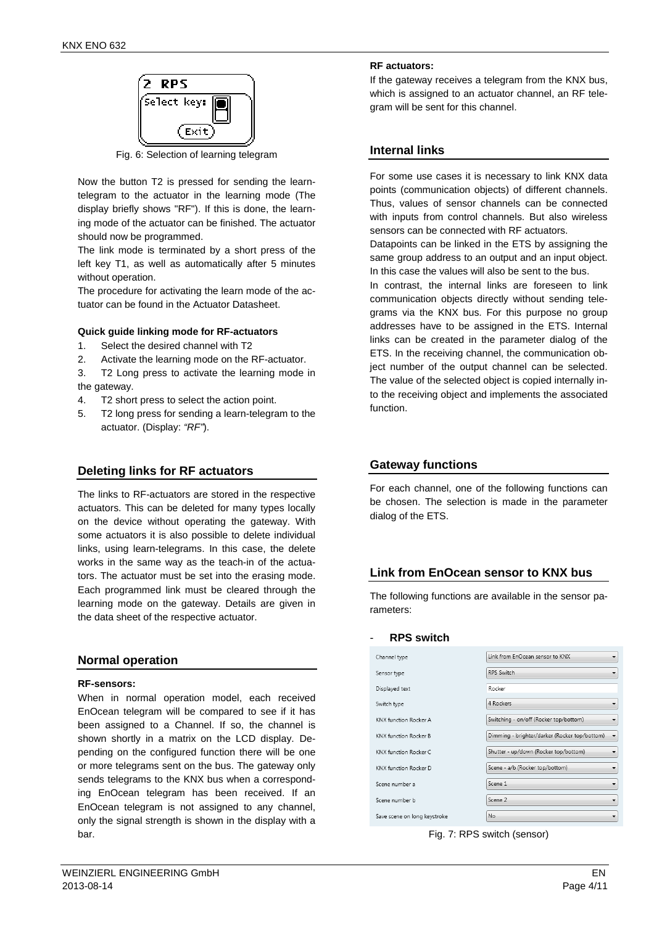

Fig. 6: Selection of learning telegram

Now the button T2 is pressed for sending the learntelegram to the actuator in the learning mode (The display briefly shows "RF"). If this is done, the learning mode of the actuator can be finished. The actuator should now be programmed.

The link mode is terminated by a short press of the left key T1, as well as automatically after 5 minutes without operation.

The procedure for activating the learn mode of the actuator can be found in the Actuator Datasheet.

#### **Quick guide linking mode for RF-actuators**

- 1. Select the desired channel with T2
- 2. Activate the learning mode on the RF-actuator.
- 3. T2 Long press to activate the learning mode in the gateway.
- 4. T2 short press to select the action point.
- 5. T2 long press for sending a learn-telegram to the actuator. (Display: "RF").

## **Deleting links for RF actuators**

The links to RF-actuators are stored in the respective actuators. This can be deleted for many types locally on the device without operating the gateway. With some actuators it is also possible to delete individual links, using learn-telegrams. In this case, the delete works in the same way as the teach-in of the actuators. The actuator must be set into the erasing mode. Each programmed link must be cleared through the learning mode on the gateway. Details are given in the data sheet of the respective actuator.

## **Normal operation**

#### **RF-sensors:**

When in normal operation model, each received EnOcean telegram will be compared to see if it has been assigned to a Channel. If so, the channel is shown shortly in a matrix on the LCD display. Depending on the configured function there will be one or more telegrams sent on the bus. The gateway only sends telegrams to the KNX bus when a corresponding EnOcean telegram has been received. If an EnOcean telegram is not assigned to any channel, only the signal strength is shown in the display with a bar.

If the gateway receives a telegram from the KNX bus, which is assigned to an actuator channel, an RF telegram will be sent for this channel.

## **Internal links**

For some use cases it is necessary to link KNX data points (communication objects) of different channels. Thus, values of sensor channels can be connected with inputs from control channels. But also wireless sensors can be connected with RF actuators.

Datapoints can be linked in the ETS by assigning the same group address to an output and an input object. In this case the values will also be sent to the bus.

In contrast, the internal links are foreseen to link communication objects directly without sending telegrams via the KNX bus. For this purpose no group addresses have to be assigned in the ETS. Internal links can be created in the parameter dialog of the ETS. In the receiving channel, the communication object number of the output channel can be selected. The value of the selected object is copied internally into the receiving object and implements the associated function.

## **Gateway functions**

For each channel, one of the following functions can be chosen. The selection is made in the parameter dialog of the ETS.

## **Link from EnOcean sensor to KNX bus**

The following functions are available in the sensor parameters:

#### - **RPS switch**

| Channel type                 | Link from EnOcean sensor to KNX                                           |
|------------------------------|---------------------------------------------------------------------------|
| Sensor type                  | <b>RPS Switch</b><br>▼                                                    |
| Displayed text               | Rocker                                                                    |
| Switch type                  | 4 Rockers                                                                 |
| KNX function Rocker A        | Switching - on/off (Rocker top/bottom)<br>▼                               |
| <b>KNX</b> function Rocker B | Dimming - brighter/darker (Rocker top/bottom)<br>$\overline{\phantom{a}}$ |
| KNX function Rocker C        | Shutter - up/down (Rocker top/bottom)                                     |
| KNX function Rocker D        | Scene - a/b (Rocker top/bottom)                                           |
| Scene number a               | Scene 1<br>▼                                                              |
| Scene number b               | Scene 2<br>▼                                                              |
| Save scene on long keystroke | No<br>▼                                                                   |

#### Fig. 7: RPS switch (sensor)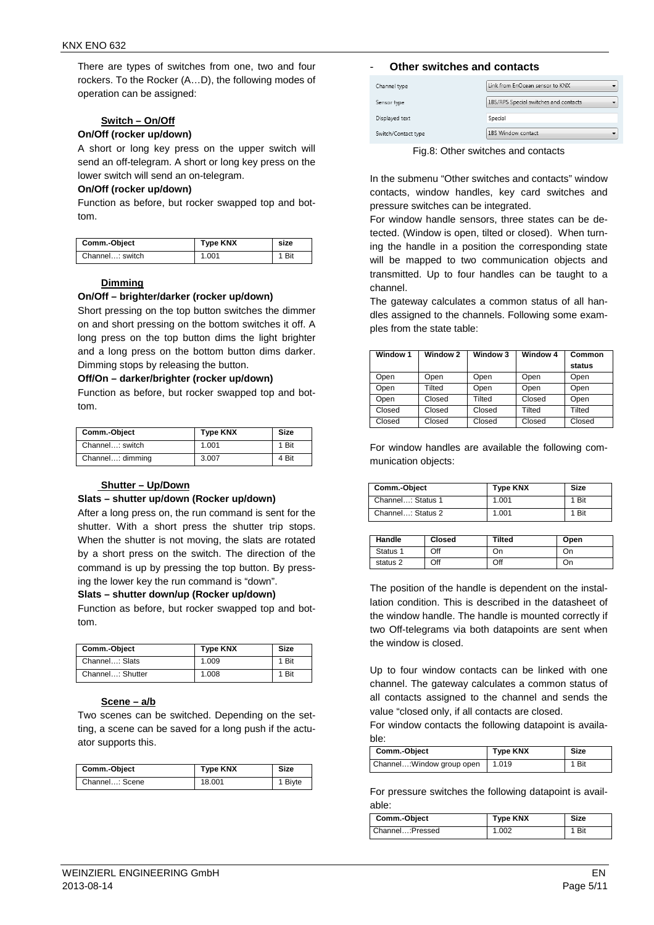There are types of switches from one, two and four rockers. To the Rocker (A…D), the following modes of operation can be assigned:

#### **Switch – On/Off**

#### **On/Off (rocker up/down)**

A short or long key press on the upper switch will send an off-telegram. A short or long key press on the lower switch will send an on-telegram.

#### **On/Off (rocker up/down)**

Function as before, but rocker swapped top and bottom.

| Comm.-Object    | <b>Type KNX</b> | size |
|-----------------|-----------------|------|
| Channel: switch | 1.001           | Bit  |

#### **Dimming**

#### **On/Off – brighter/darker (rocker up/down)**

Short pressing on the top button switches the dimmer on and short pressing on the bottom switches it off. A long press on the top button dims the light brighter and a long press on the bottom button dims darker. Dimming stops by releasing the button.

#### **Off/On – darker/brighter (rocker up/down)**

Function as before, but rocker swapped top and bottom.

| Comm.-Object     | <b>Type KNX</b> | <b>Size</b> |
|------------------|-----------------|-------------|
| Channel: switch  | 1.001           | 1 Bit       |
| Channel: dimming | 3.007           | 4 Bit       |

#### **Shutter – Up/Down**

#### **Slats – shutter up/down (Rocker up/down)**

After a long press on, the run command is sent for the shutter. With a short press the shutter trip stops. When the shutter is not moving, the slats are rotated by a short press on the switch. The direction of the command is up by pressing the top button. By pressing the lower key the run command is "down".

#### **Slats – shutter down/up (Rocker up/down)**

Function as before, but rocker swapped top and bottom.

| Comm.-Object     | <b>Type KNX</b> | <b>Size</b> |
|------------------|-----------------|-------------|
| Channel: Slats   | 1.009           | 1 Bit       |
| Channel: Shutter | 1.008           | Bit         |

#### **Scene – a/b**

Two scenes can be switched. Depending on the setting, a scene can be saved for a long push if the actuator supports this.

| Comm.-Object   | <b>Type KNX</b> | Size    |
|----------------|-----------------|---------|
| Channel: Scene | 18.001          | 1 Biyte |

#### **Other switches and contacts**

| Channel type        | Link from EnOcean sensor to KNX       |
|---------------------|---------------------------------------|
| Sensor type         | 1BS/RPS Special switches and contacts |
| Displayed text      | Special                               |
| Switch/Contact type | 1BS Window contact                    |

Fig.8: Other switches and contacts

In the submenu "Other switches and contacts" window contacts, window handles, key card switches and pressure switches can be integrated.

For window handle sensors, three states can be detected. (Window is open, tilted or closed). When turning the handle in a position the corresponding state will be mapped to two communication objects and transmitted. Up to four handles can be taught to a channel.

The gateway calculates a common status of all handles assigned to the channels. Following some examples from the state table:

| Window 1 | Window <sub>2</sub> | Window 3 | Window 4 | Common |
|----------|---------------------|----------|----------|--------|
|          |                     |          |          | status |
| Open     | Open                | Open     | Open     | Open   |
| Open     | Tilted              | Open     | Open     | Open   |
| Open     | Closed              | Tilted   | Closed   | Open   |
| Closed   | Closed              | Closed   | Tilted   | Tilted |
| Closed   | Closed              | Closed   | Closed   | Closed |

For window handles are available the following communication objects:

| Comm.-Object      | <b>Type KNX</b> | <b>Size</b> |
|-------------------|-----------------|-------------|
| Channel: Status 1 | 1.001           | 1 Bit       |
| Channel: Status 2 | 1.001           | 1 Bit       |

| Handle   | <b>Closed</b> | Tilted | Open |
|----------|---------------|--------|------|
| Status 1 | Off           | Dn     | On   |
| status 2 | Off           | Off    | Οn   |

The position of the handle is dependent on the installation condition. This is described in the datasheet of the window handle. The handle is mounted correctly if two Off-telegrams via both datapoints are sent when the window is closed.

Up to four window contacts can be linked with one channel. The gateway calculates a common status of all contacts assigned to the channel and sends the value "closed only, if all contacts are closed.

For window contacts the following datapoint is available:

| Comm.-Object                       | Type KNX | Size  |
|------------------------------------|----------|-------|
| Channel: Window group open   1.019 |          | 1 Bit |

For pressure switches the following datapoint is available:

| Comm.-Object     | <b>Type KNX</b> | Size |
|------------------|-----------------|------|
| Channel: Pressed | 1.002           | Bit  |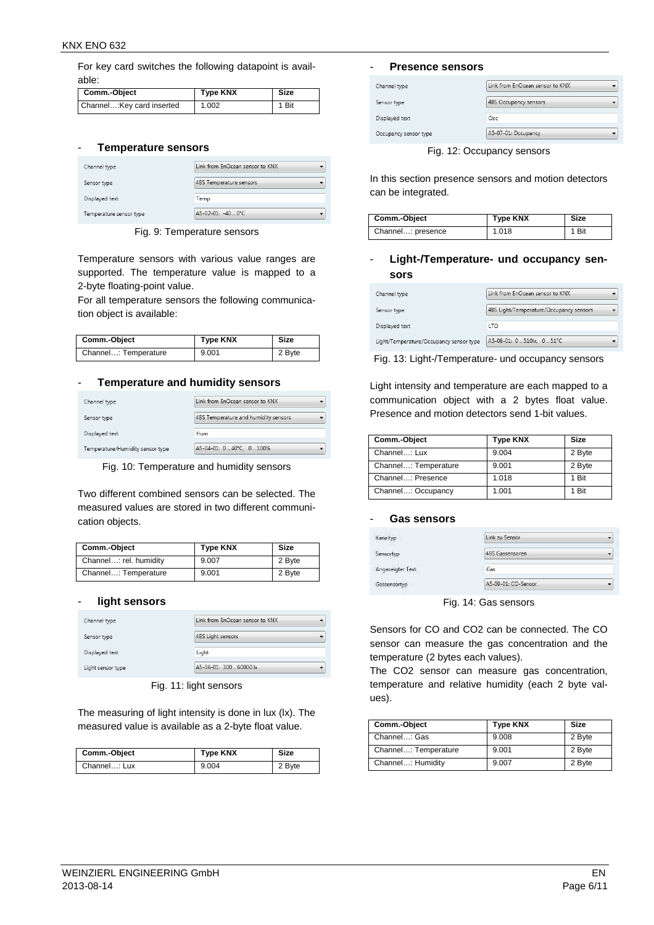For key card switches the following datapoint is available:

| Comm.-Object               | <b>Type KNX</b> | Size  |
|----------------------------|-----------------|-------|
| Channel: Key card inserted | 1.002           | 1 Bit |

#### - **Temperature sensors**

| Channel type            | Link from EnOcean sensor to KNX |
|-------------------------|---------------------------------|
| Sensor type             | 4BS Temperature sensors         |
| Displayed text          | Temp                            |
| Temperature sensor type | A5-02-01: -40  0°C              |

Fig. 9: Temperature sensors

Temperature sensors with various value ranges are supported. The temperature value is mapped to a 2-byte floating-point value.

For all temperature sensors the following communication object is available:

| Comm.-Object         | <b>Type KNX</b> | <b>Size</b> |
|----------------------|-----------------|-------------|
| Channel: Temperature | 9.001           | 2 Byte      |

#### - **Temperature and humidity sensors**

| Channel type                     | Link from EnOcean sensor to KNX      |
|----------------------------------|--------------------------------------|
| Sensor type                      | 4BS Temperature and humidity sensors |
| Displayed text                   | <b>Hum</b>                           |
| Temperature/Humidity sensor type | A5-04-01: 0  40°C. 0  100%           |

Fig. 10: Temperature and humidity sensors

Two different combined sensors can be selected. The measured values are stored in two different communication objects.

| Comm.-Object           | <b>Type KNX</b> | Size   |
|------------------------|-----------------|--------|
| Channel: rel. humidity | 9.007           | 2 Byte |
| Channel: Temperature   | 9.001           | 2 Byte |

#### - **light sensors**

| Channel type      | Link from EnOcean sensor to KNX |  |
|-------------------|---------------------------------|--|
| Sensor type       | 4BS Light sensors               |  |
| Displayed text    | Light                           |  |
| Light sensor type | A5-06-01: 300  60000 lx         |  |

Fig. 11: light sensors

The measuring of light intensity is done in lux (lx). The measured value is available as a 2-byte float value.

| Comm.-Object | <b>Type KNX</b> | Size   |
|--------------|-----------------|--------|
| Channel: Lux | 9.004           | 2 Byte |

#### - **Presence sensors**

| Channel type          | Link from EnOcean sensor to KNX |
|-----------------------|---------------------------------|
| Sensor type           | <b>4BS Occupancy sensors</b>    |
| Displayed text        | Occ                             |
| Occupancy sensor type | A5-07-01: Occupancy             |

Fig. 12: Occupancy sensors

In this section presence sensors and motion detectors can be integrated.

| Comm.-Object      | <b>Type KNX</b> | Size |
|-------------------|-----------------|------|
| Channel: presence | 1.018           | Bit  |

## - **Light-/Temperature- und occupancy sensors**

| Channel type                            | Link from EnOcean sensor to KNX         |
|-----------------------------------------|-----------------------------------------|
| Sensor type                             | 4BS Light/Temperature/Occupancy sensors |
| Displayed text                          | <b>ITO</b>                              |
| Light/Temperature/Occupancy sensor type | A5-08-01: 0., 510 x, 0., 51°C           |

Fig. 13: Light-/Temperature- und occupancy sensors

Light intensity and temperature are each mapped to a communication object with a 2 bytes float value. Presence and motion detectors send 1-bit values.

| Comm.-Object         | <b>Type KNX</b> | <b>Size</b> |
|----------------------|-----------------|-------------|
| Channel: Lux         | 9.004           | 2 Byte      |
| Channel: Temperature | 9.001           | 2 Byte      |
| Channel: Presence    | 1.018           | 1 Bit       |
| Channel: Occupancy   | 1.001           | 1 Bit       |

#### - **Gas sensors**

| Kanaltyp         | Link zu Sensor         |  |
|------------------|------------------------|--|
| Sensortyp        | <b>4BS</b> Gassensoren |  |
| Angezeigter Text | Gas                    |  |
| Gassensortyp     | A5-09-01: CO-Sensor    |  |

Fig. 14: Gas sensors

Sensors for CO and CO2 can be connected. The CO sensor can measure the gas concentration and the temperature (2 bytes each values).

The CO2 sensor can measure gas concentration, temperature and relative humidity (each 2 byte values).

| Comm.-Object         | <b>Type KNX</b> | Size   |
|----------------------|-----------------|--------|
| Channel: Gas         | 9.008           | 2 Byte |
| Channel: Temperature | 9.001           | 2 Byte |
| Channel: Humidity    | 9.007           | 2 Byte |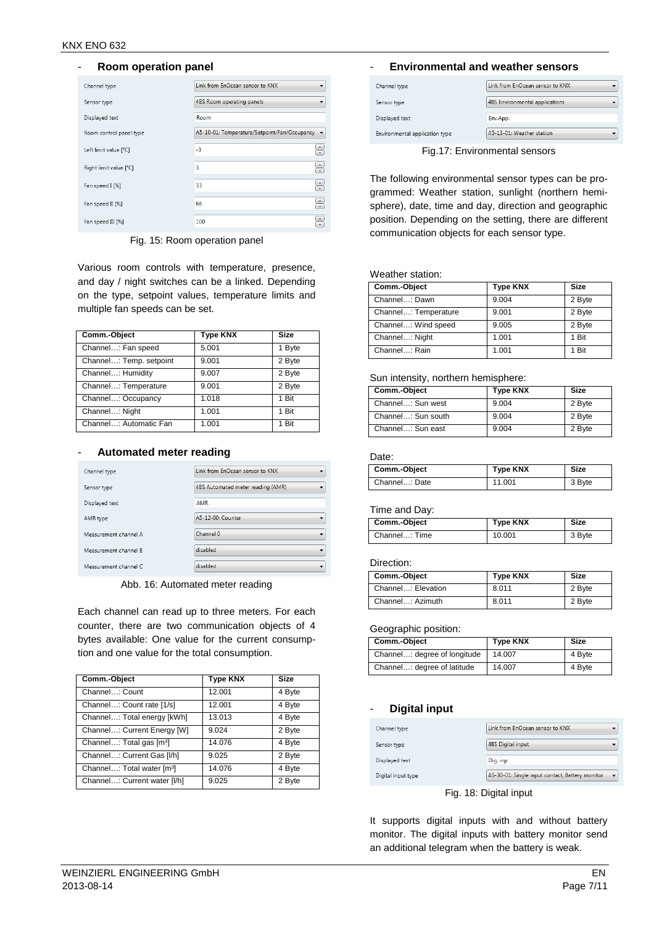#### - **Room operation panel**

| Channel type            | Link from EnOcean sensor to KNX                |
|-------------------------|------------------------------------------------|
| Sensor type             | 4BS Room operating panels                      |
| Displayed text          | Room                                           |
| Room control panel type | A5-10-01: Temperature/Setpoint/Fan/Occupancy - |
| Left limit value [°C]   | $-3$                                           |
| Right limit value [°C]  | $\Rightarrow$<br>3                             |
| Fan speed I [%]         | €<br>33                                        |
| Fan speed II [%]        | $\Rightarrow$<br>66                            |
| Fan speed III [%]       | 100                                            |

Fig. 15: Room operation panel

Various room controls with temperature, presence, and day / night switches can be a linked. Depending on the type, setpoint values, temperature limits and multiple fan speeds can be set.

| Comm.-Object            | <b>Type KNX</b> | <b>Size</b> |
|-------------------------|-----------------|-------------|
| Channel: Fan speed      | 5.001           | 1 Byte      |
| Channel: Temp. setpoint | 9.001           | 2 Byte      |
| Channel: Humidity       | 9.007           | 2 Byte      |
| Channel: Temperature    | 9.001           | 2 Byte      |
| Channel: Occupancy      | 1.018           | 1 Bit       |
| Channel: Night          | 1.001           | 1 Bit       |
| Channel: Automatic Fan  | 1.001           | 1 Bit       |

#### - **Automated meter reading**

| Channel type          | Link from EnOcean sensor to KNX   |  |
|-----------------------|-----------------------------------|--|
| Sensor type           | 4BS Automated meter reading (AMR) |  |
| Displayed text        | AMR                               |  |
| AMR type              | A5-12-00: Counter                 |  |
| Measurement channel A | Channel 0                         |  |
| Measurement channel B | disabled                          |  |
| Measurement channel C | disabled                          |  |

Abb. 16: Automated meter reading

Each channel can read up to three meters. For each counter, there are two communication objects of 4 bytes available: One value for the current consumption and one value for the total consumption.

| Comm.-Object                           | <b>Type KNX</b> | <b>Size</b> |
|----------------------------------------|-----------------|-------------|
| Channel: Count                         | 12.001          | 4 Byte      |
| Channel: Count rate [1/s]              | 12.001          | 4 Byte      |
| Channel: Total energy [kWh]            | 13.013          | 4 Byte      |
| Channel: Current Energy [W]            | 9.024           | 2 Byte      |
| Channel: Total gas [m <sup>3</sup> ]   | 14.076          | 4 Byte      |
| Channel: Current Gas [I/h]             | 9.025           | 2 Byte      |
| Channel: Total water [m <sup>3</sup> ] | 14.076          | 4 Byte      |
| Channel: Current water [I/h]           | 9.025           | 2 Byte      |

#### - **Environmental and weather sensors**

| Channel type                   | Link from EnOcean sensor to KNX |
|--------------------------------|---------------------------------|
| Sensor type                    | 4BS Environmental applications  |
| Displayed text                 | Env.App.                        |
| Environmental application type | A5-13-01: Weather station       |

Fig.17: Environmental sensors

The following environmental sensor types can be programmed: Weather station, sunlight (northern hemisphere), date, time and day, direction and geographic position. Depending on the setting, there are different communication objects for each sensor type.

Weather station:

| Comm.-Object         | <b>Type KNX</b> | <b>Size</b> |
|----------------------|-----------------|-------------|
| Channel: Dawn        | 9.004           | 2 Byte      |
| Channel: Temperature | 9.001           | 2 Byte      |
| Channel: Wind speed  | 9.005           | 2 Byte      |
| Channel: Night       | 1.001           | 1 Bit       |
| Channel: Rain        | 1.001           | 1 Bit       |

#### Sun intensity, northern hemisphere:

| Comm.-Object       | <b>Type KNX</b> | Size   |
|--------------------|-----------------|--------|
| Channel: Sun west  | 9.004           | 2 Byte |
| Channel: Sun south | 9.004           | 2 Byte |
| Channel: Sun east  | 9.004           | 2 Byte |

#### Date:

| Comm.-Object  | <b>Type KNX</b> | Size   |
|---------------|-----------------|--------|
| Channel: Date | 11.001          | 3 Byte |

#### Time and Day:

| Comm.-Object  | <b>Type KNX</b> | Size   |
|---------------|-----------------|--------|
| Channel: Time | 10.001          | 3 Byte |

#### Direction:

| Comm.-Object       | <b>Type KNX</b> | Size   |
|--------------------|-----------------|--------|
| Channel: Elevation | 8.011           | 2 Byte |
| Channel: Azimuth   | 8.011           | 2 Byte |

#### Geographic position:

| Comm.-Object                 | <b>Type KNX</b> | <b>Size</b> |
|------------------------------|-----------------|-------------|
| Channel: degree of longitude | 14.007          | 4 Byte      |
| Channel: degree of latitude  | 14.007          | 4 Byte      |

#### - **Digital input**

| Channel type       | Link from EnOcean sensor to KNX                 |
|--------------------|-------------------------------------------------|
| Sensor type        | <b>4BS</b> Digital input                        |
| Displayed text     | Dig. inp                                        |
| Digital input type | A5-30-01: Single input contact, Battery monitor |

Fig. 18: Digital input

It supports digital inputs with and without battery monitor. The digital inputs with battery monitor send an additional telegram when the battery is weak.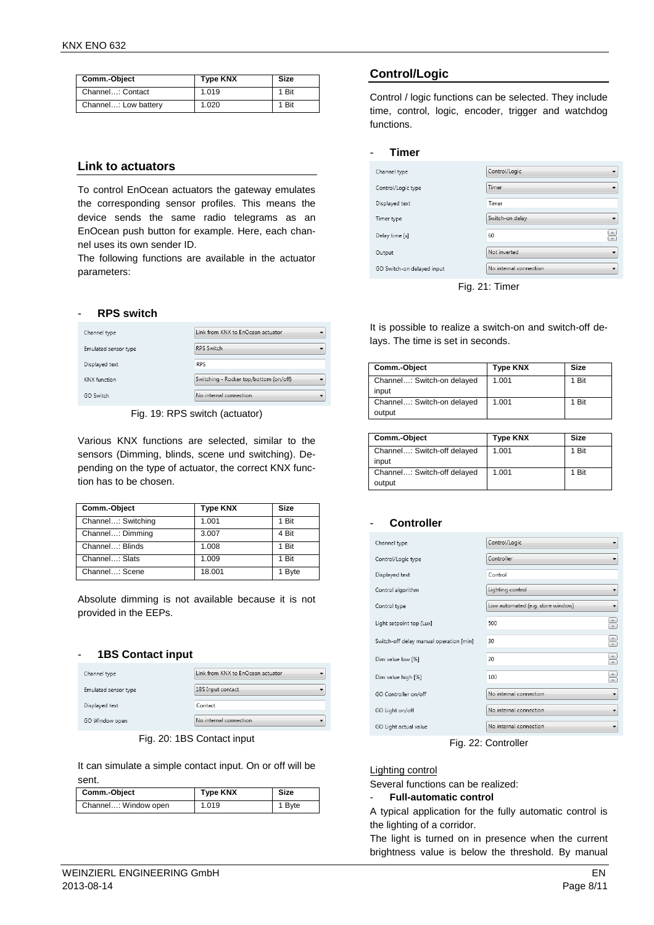| Comm.-Object         | <b>Type KNX</b> | <b>Size</b> |
|----------------------|-----------------|-------------|
| Channel: Contact     | 1.019           | 1 Bit       |
| Channel: Low battery | 1.020           | 1 Bit       |

## **Link to actuators**

To control EnOcean actuators the gateway emulates the corresponding sensor profiles. This means the device sends the same radio telegrams as an EnOcean push button for example. Here, each channel uses its own sender ID.

The following functions are available in the actuator parameters:

#### - **RPS switch**

| Channel type         | Link from KNX to EnOcean actuator      |
|----------------------|----------------------------------------|
| Emulated sensor type | <b>RPS Switch</b>                      |
| Displayed text       | <b>RPS</b>                             |
| <b>KNX</b> function  | Switching - Rocker top/bottom (on/off) |
| GO Switch            | No internal connection                 |

Fig. 19: RPS switch (actuator)

Various KNX functions are selected, similar to the sensors (Dimming, blinds, scene und switching). Depending on the type of actuator, the correct KNX function has to be chosen.

| Comm.-Object       | <b>Type KNX</b> | <b>Size</b> |
|--------------------|-----------------|-------------|
| Channel: Switching | 1.001           | 1 Bit       |
| Channel: Dimming   | 3.007           | 4 Bit       |
| Channel: Blinds    | 1.008           | 1 Bit       |
| Channel: Slats     | 1.009           | 1 Bit       |
| Channel: Scene     | 18.001          | 1 Byte      |

Absolute dimming is not available because it is not provided in the EEPs.

#### - **1BS Contact input**

| Channel type         | Link from KNX to EnOcean actuator |  |
|----------------------|-----------------------------------|--|
| Emulated sensor type | 1BS Input contact                 |  |
| Displayed text       | Contact                           |  |
| GO Window open       | No internal connection            |  |

Fig. 20: 1BS Contact input

It can simulate a simple contact input. On or off will be sent.

| Comm.-Object         | <b>Type KNX</b> | Size   |
|----------------------|-----------------|--------|
| Channel: Window open | 1.019           | 1 Byte |

#### **Control/Logic**

Control / logic functions can be selected. They include time, control, logic, encoder, trigger and watchdog functions.

#### - **Timer**

| Channel type               | Control/Logic          |
|----------------------------|------------------------|
| Control/Logic type         | Timer                  |
| Displayed text             | Timer                  |
| Timer type                 | Switch-on delay        |
| Delay time [s]             | ÷<br>60                |
| Output                     | Not inverted           |
| GO Switch-on delayed input | No internal connection |

Fig. 21: Timer

It is possible to realize a switch-on and switch-off delays. The time is set in seconds.

| Comm.-Object               | <b>Type KNX</b> | Size  |
|----------------------------|-----------------|-------|
| Channel: Switch-on delayed | 1.001           | 1 Bit |
| input                      |                 |       |
| Channel: Switch-on delayed | 1.001           | 1 Bit |
| output                     |                 |       |

| Comm.-Object                          | <b>Type KNX</b> | Size  |
|---------------------------------------|-----------------|-------|
| Channel: Switch-off delayed<br>input  | 1.001           | 1 Bit |
| Channel: Switch-off delayed<br>output | 1.001           | 1 Bit |

#### - **Controller**

| Channel type                            | Control/Logic<br>▼                     |
|-----------------------------------------|----------------------------------------|
| Control/Logic type                      | Controller<br>▼                        |
| Displayed text                          | Control                                |
| Control algorithm                       | Lighting control<br>▼                  |
| Control type                            | Low automated (e.g. store window)<br>▼ |
| Light setpoint top [Lux]                | €<br>500                               |
| Switch-off delay manual operation [min] | €<br>30                                |
| Dim value low [%]                       | €<br>20                                |
| Dim value high [%]                      | $\bigoplus$<br>100                     |
| GO Controller on/off                    | No internal connection                 |
| GO Light on/off                         | No internal connection<br>۰            |
| GO Light actual value                   | No internal connection<br>▼            |

Fig. 22: Controller

#### Lighting control

Several functions can be realized:

#### - **Full-automatic control**

A typical application for the fully automatic control is the lighting of a corridor.

The light is turned on in presence when the current brightness value is below the threshold. By manual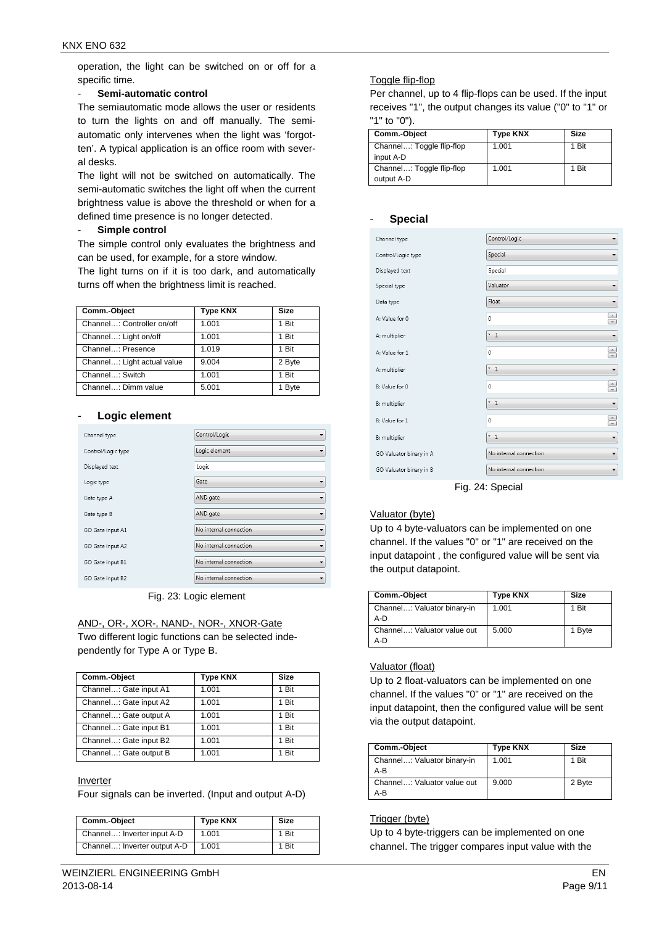operation, the light can be switched on or off for a specific time.

#### - **Semi-automatic control**

The semiautomatic mode allows the user or residents to turn the lights on and off manually. The semiautomatic only intervenes when the light was 'forgotten'. A typical application is an office room with several desks.

The light will not be switched on automatically. The semi-automatic switches the light off when the current brightness value is above the threshold or when for a defined time presence is no longer detected.

#### Simple control

The simple control only evaluates the brightness and can be used, for example, for a store window.

The light turns on if it is too dark, and automatically turns off when the brightness limit is reached.

| Comm.-Object                | <b>Type KNX</b> | <b>Size</b> |
|-----------------------------|-----------------|-------------|
| Channel: Controller on/off  | 1.001           | 1 Bit       |
| Channel: Light on/off       | 1.001           | 1 Bit       |
| Channel: Presence           | 1.019           | 1 Bit       |
| Channel: Light actual value | 9.004           | 2 Byte      |
| Channel: Switch             | 1.001           | 1 Bit       |
| Channel: Dimm value         | 5.001           | <b>Byte</b> |

#### - **Logic element**

| Channel type       | Control/Logic          |
|--------------------|------------------------|
| Control/Logic type | Logic element          |
| Displayed text     | Logic                  |
| Logic type         | Gate                   |
| Gate type A        | AND gate               |
| Gate type B        | AND gate               |
| GO Gate input A1   | No internal connection |
| GO Gate input A2   | No internal connection |
| GO Gate input B1   | No internal connection |
| GO Gate input B2   | No internal connection |

#### Fig. 23: Logic element

#### AND-, OR-, XOR-, NAND-, NOR-, XNOR-Gate

Two different logic functions can be selected independently for Type A or Type B.

| Comm.-Object           | <b>Type KNX</b> | <b>Size</b> |
|------------------------|-----------------|-------------|
| Channel: Gate input A1 | 1.001           | 1 Bit       |
| Channel: Gate input A2 | 1.001           | 1 Bit       |
| Channel: Gate output A | 1.001           | 1 Bit       |
| Channel: Gate input B1 | 1.001           | 1 Bit       |
| Channel: Gate input B2 | 1.001           | 1 Bit       |
| Channel: Gate output B | 1.001           | 1 Bit       |

#### Inverter

Four signals can be inverted. (Input and output A-D)

| Comm.-Object                 | <b>Type KNX</b> | <b>Size</b> |
|------------------------------|-----------------|-------------|
| Channel: Inverter input A-D  | 1.001           | 1 Bit       |
| Channel: Inverter output A-D | 1.001           | Bit         |

#### Toggle flip-flop

- **Special** 

Per channel, up to 4 flip-flops can be used. If the input receives "1", the output changes its value ("0" to "1" or "1" to "0").

| Comm.-Object                            | <b>Type KNX</b> | Size  |
|-----------------------------------------|-----------------|-------|
| Channel: Toggle flip-flop<br>input A-D  | 1.001           | 1 Bit |
| Channel: Toggle flip-flop<br>output A-D | 1.001           | 1 Bit |

| эресіаі                 |                        |                  |
|-------------------------|------------------------|------------------|
| Channel type            | Control/Logic          | ▼                |
| Control/Logic type      | Special                | ۰                |
| Displayed text          | Special                |                  |
| Special type            | Valuator               | ▼                |
| Data type               | Float                  |                  |
| A: Value for 0          | $\mathbf{0}$           | $\frac{1}{\tau}$ |
| A: multiplier           | $*1$                   | ۰                |
| A: Value for 1          | 0                      | ÷                |
| A: multiplier           | ×<br>$\mathbf{1}$      | ▼                |
| B: Value for 0          | 0                      | $\frac{1}{\pi}$  |
| B: multiplier           | $*1$                   | ▼                |
| B: Value for 1          | 0                      | ÷                |
| B: multiplier           | $*1$                   | ۳                |
| GO Valuator binary in A | No internal connection | ۳                |
| GO Valuator binary in B | No internal connection | ۳                |
|                         |                        |                  |

Fig. 24: Special

#### Valuator (byte)

Up to 4 byte-valuators can be implemented on one channel. If the values "0" or "1" are received on the input datapoint , the configured value will be sent via the output datapoint.

| Comm.-Object                         | Type KNX | <b>Size</b> |
|--------------------------------------|----------|-------------|
| Channel: Valuator binary-in<br>$A-D$ | 1.001    | 1 Bit       |
| Channel: Valuator value out<br>A-D   | 5.000    | 1 Byte      |

#### Valuator (float)

Up to 2 float-valuators can be implemented on one channel. If the values "0" or "1" are received on the input datapoint, then the configured value will be sent via the output datapoint.

| Comm.-Object                       | <b>Type KNX</b> | Size   |
|------------------------------------|-----------------|--------|
| Channel: Valuator binary-in<br>A-B | 1.001           | 1 Bit  |
| Channel: Valuator value out<br>A-B | 9.000           | 2 Byte |

#### Trigger (byte)

Up to 4 byte-triggers can be implemented on one channel. The trigger compares input value with the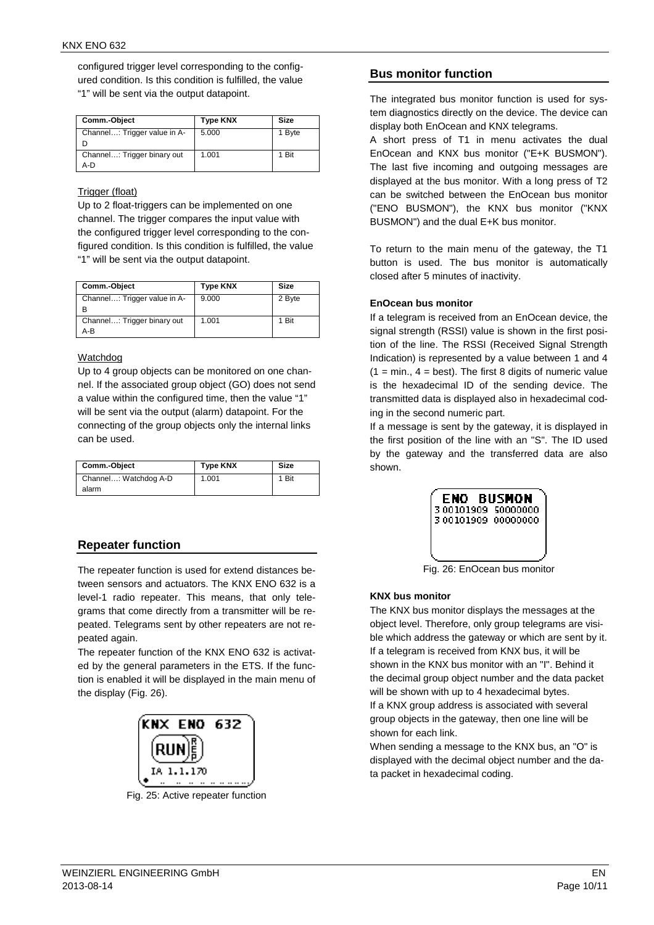configured trigger level corresponding to the configured condition. Is this condition is fulfilled, the value "1" will be sent via the output datapoint.

| Comm.-Object                       | <b>Type KNX</b> | Size   |
|------------------------------------|-----------------|--------|
| Channel: Trigger value in A-       | 5.000           | 1 Byte |
| Channel: Trigger binary out<br>A-D | 1.001           | 1 Bit  |

#### Trigger (float)

Up to 2 float-triggers can be implemented on one channel. The trigger compares the input value with the configured trigger level corresponding to the configured condition. Is this condition is fulfilled, the value "1" will be sent via the output datapoint.

| Comm.-Object                       | <b>Type KNX</b> | Size   |
|------------------------------------|-----------------|--------|
| Channel: Trigger value in A-<br>в  | 9.000           | 2 Byte |
| Channel: Trigger binary out<br>A-B | 1.001           | 1 Bit  |

#### Watchdog

Up to 4 group objects can be monitored on one channel. If the associated group object (GO) does not send a value within the configured time, then the value "1" will be sent via the output (alarm) datapoint. For the connecting of the group objects only the internal links can be used.

| Comm.-Object          | <b>Type KNX</b> | Size |
|-----------------------|-----------------|------|
| Channel: Watchdog A-D | 1.001           | Bit  |
| alarm                 |                 |      |

## **Repeater function**

The repeater function is used for extend distances between sensors and actuators. The KNX ENO 632 is a level-1 radio repeater. This means, that only telegrams that come directly from a transmitter will be repeated. Telegrams sent by other repeaters are not repeated again.

The repeater function of the KNX ENO 632 is activated by the general parameters in the ETS. If the function is enabled it will be displayed in the main menu of the display (Fig. 26).



Fig. 25: Active repeater function

## **Bus monitor function**

The integrated bus monitor function is used for system diagnostics directly on the device. The device can display both EnOcean and KNX telegrams.

A short press of T1 in menu activates the dual EnOcean and KNX bus monitor ("E+K BUSMON"). The last five incoming and outgoing messages are displayed at the bus monitor. With a long press of T2 can be switched between the EnOcean bus monitor ("ENO BUSMON"), the KNX bus monitor ("KNX BUSMON") and the dual E+K bus monitor.

To return to the main menu of the gateway, the T1 button is used. The bus monitor is automatically closed after 5 minutes of inactivity.

#### **EnOcean bus monitor**

If a telegram is received from an EnOcean device, the signal strength (RSSI) value is shown in the first position of the line. The RSSI (Received Signal Strength Indication) is represented by a value between 1 and 4  $(1 = min., 4 = best)$ . The first 8 digits of numeric value is the hexadecimal ID of the sending device. The transmitted data is displayed also in hexadecimal coding in the second numeric part.

If a message is sent by the gateway, it is displayed in the first position of the line with an "S". The ID used by the gateway and the transferred data are also shown.



Fig. 26: EnOcean bus monitor

## **KNX bus monitor**

The KNX bus monitor displays the messages at the object level. Therefore, only group telegrams are visible which address the gateway or which are sent by it. If a telegram is received from KNX bus, it will be shown in the KNX bus monitor with an "I". Behind it the decimal group object number and the data packet will be shown with up to 4 hexadecimal bytes. If a KNX group address is associated with several group objects in the gateway, then one line will be shown for each link.

When sending a message to the KNX bus, an "O" is displayed with the decimal object number and the data packet in hexadecimal coding.